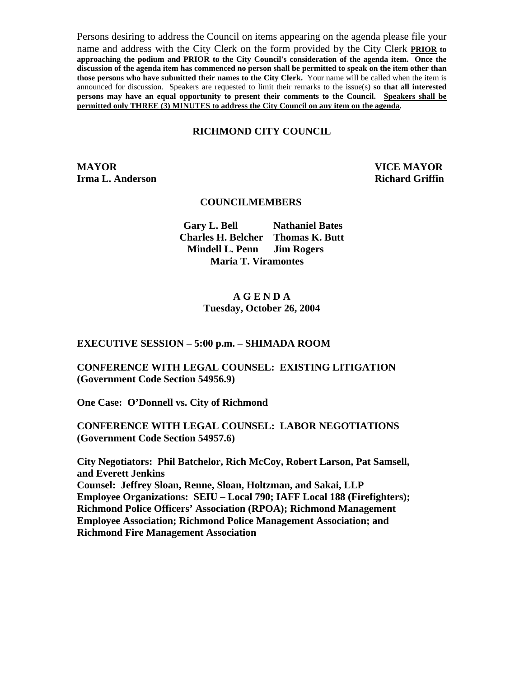Persons desiring to address the Council on items appearing on the agenda please file your name and address with the City Clerk on the form provided by the City Clerk **PRIOR to approaching the podium and PRIOR to the City Council's consideration of the agenda item. Once the discussion of the agenda item has commenced no person shall be permitted to speak on the item other than those persons who have submitted their names to the City Clerk.** Your name will be called when the item is announced for discussion. Speakers are requested to limit their remarks to the issue(s) **so that all interested persons may have an equal opportunity to present their comments to the Council. Speakers shall be permitted only THREE (3) MINUTES to address the City Council on any item on the agenda.**

#### **RICHMOND CITY COUNCIL**

**MAYOR VICE MAYOR Irma L. Anderson Richard Griffin Richard Griffin** 

#### **COUNCILMEMBERS**

 **Gary L. Bell Nathaniel Bates Charles H. Belcher Thomas K. Butt Mindell L. Penn Jim Rogers Maria T. Viramontes**

### **A G E N D A Tuesday, October 26, 2004**

#### **EXECUTIVE SESSION – 5:00 p.m. – SHIMADA ROOM**

**CONFERENCE WITH LEGAL COUNSEL: EXISTING LITIGATION (Government Code Section 54956.9)** 

**One Case: O'Donnell vs. City of Richmond** 

**CONFERENCE WITH LEGAL COUNSEL: LABOR NEGOTIATIONS (Government Code Section 54957.6)** 

**City Negotiators: Phil Batchelor, Rich McCoy, Robert Larson, Pat Samsell, and Everett Jenkins Counsel: Jeffrey Sloan, Renne, Sloan, Holtzman, and Sakai, LLP Employee Organizations: SEIU – Local 790; IAFF Local 188 (Firefighters); Richmond Police Officers' Association (RPOA); Richmond Management Employee Association; Richmond Police Management Association; and Richmond Fire Management Association**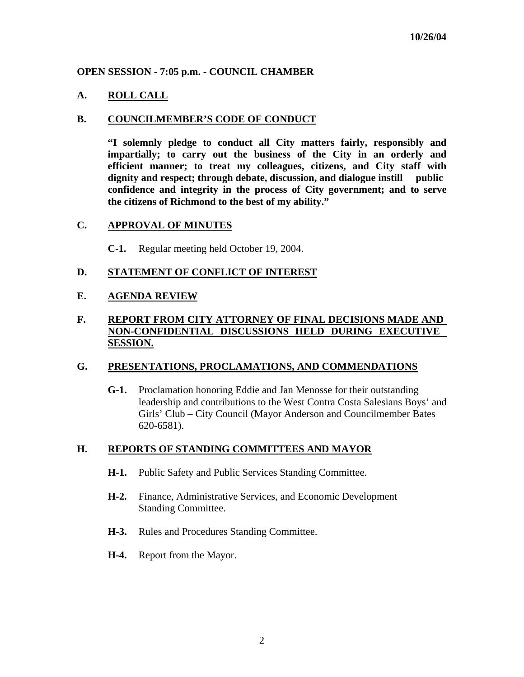### **OPEN SESSION - 7:05 p.m. - COUNCIL CHAMBER**

### **A. ROLL CALL**

#### **B. COUNCILMEMBER'S CODE OF CONDUCT**

**"I solemnly pledge to conduct all City matters fairly, responsibly and impartially; to carry out the business of the City in an orderly and efficient manner; to treat my colleagues, citizens, and City staff with dignity and respect; through debate, discussion, and dialogue instill public confidence and integrity in the process of City government; and to serve the citizens of Richmond to the best of my ability."** 

#### **C. APPROVAL OF MINUTES**

**C-1.** Regular meeting held October 19, 2004.

#### **D. STATEMENT OF CONFLICT OF INTEREST**

### **E. AGENDA REVIEW**

### **F. REPORT FROM CITY ATTORNEY OF FINAL DECISIONS MADE AND NON-CONFIDENTIAL DISCUSSIONS HELD DURING EXECUTIVE SESSION.**

#### **G. PRESENTATIONS, PROCLAMATIONS, AND COMMENDATIONS**

 **G-1.** Proclamation honoring Eddie and Jan Menosse for their outstanding leadership and contributions to the West Contra Costa Salesians Boys' and Girls' Club – City Council (Mayor Anderson and Councilmember Bates 620-6581).

#### **H. REPORTS OF STANDING COMMITTEES AND MAYOR**

- **H-1.** Public Safety and Public Services Standing Committee.
- **H-2.** Finance, Administrative Services, and Economic Development Standing Committee.
- **H-3.** Rules and Procedures Standing Committee.
- **H-4.** Report from the Mayor.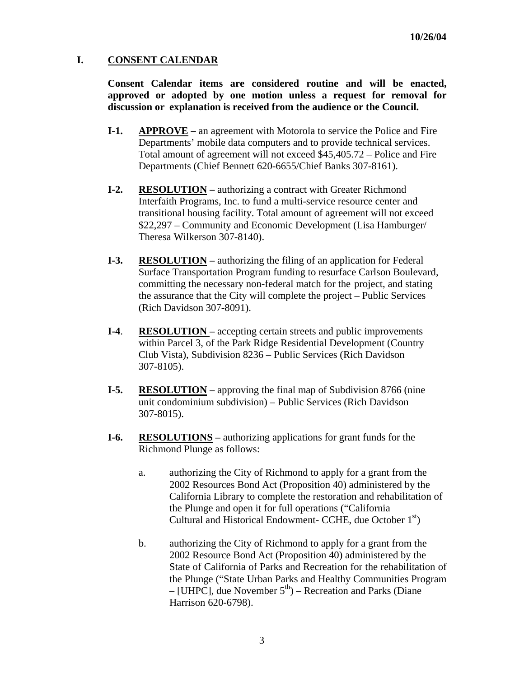### **I. CONSENT CALENDAR**

**Consent Calendar items are considered routine and will be enacted, approved or adopted by one motion unless a request for removal for discussion or explanation is received from the audience or the Council.** 

- **I-1.** APPROVE an agreement with Motorola to service the Police and Fire Departments' mobile data computers and to provide technical services. Total amount of agreement will not exceed \$45,405.72 – Police and Fire Departments (Chief Bennett 620-6655/Chief Banks 307-8161).
- **I-2. RESOLUTION** authorizing a contract with Greater Richmond Interfaith Programs, Inc. to fund a multi-service resource center and transitional housing facility. Total amount of agreement will not exceed \$22,297 – Community and Economic Development (Lisa Hamburger/ Theresa Wilkerson 307-8140).
- **I-3. RESOLUTION** authorizing the filing of an application for Federal Surface Transportation Program funding to resurface Carlson Boulevard, committing the necessary non-federal match for the project, and stating the assurance that the City will complete the project – Public Services (Rich Davidson 307-8091).
- **I-4**. **RESOLUTION** accepting certain streets and public improvements within Parcel 3, of the Park Ridge Residential Development (Country Club Vista), Subdivision 8236 – Public Services (Rich Davidson 307-8105).
- **I-5. RESOLUTION** approving the final map of Subdivision 8766 (nine unit condominium subdivision) – Public Services (Rich Davidson 307-8015).
- **I-6. RESOLUTIONS** authorizing applications for grant funds for the Richmond Plunge as follows:
	- a. authorizing the City of Richmond to apply for a grant from the 2002 Resources Bond Act (Proposition 40) administered by the California Library to complete the restoration and rehabilitation of the Plunge and open it for full operations ("California Cultural and Historical Endowment- CCHE, due October  $1<sup>st</sup>$ )
	- b. authorizing the City of Richmond to apply for a grant from the 2002 Resource Bond Act (Proposition 40) administered by the State of California of Parks and Recreation for the rehabilitation of the Plunge ("State Urban Parks and Healthy Communities Program – [UHPC], due November  $5<sup>th</sup>$ ) – Recreation and Parks (Diane Harrison 620-6798).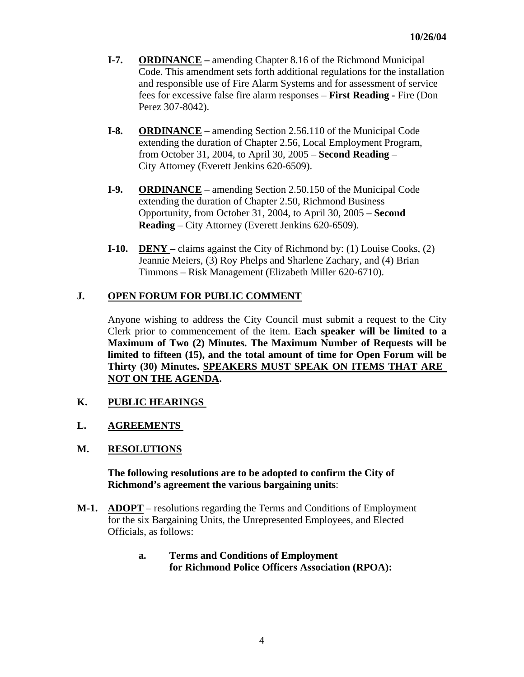- **I-7. ORDINANCE** amending Chapter 8.16 of the Richmond Municipal Code. This amendment sets forth additional regulations for the installation and responsible use of Fire Alarm Systems and for assessment of service fees for excessive false fire alarm responses – **First Reading -** Fire (Don Perez 307-8042).
- **I-8. ORDINANCE** amending Section 2.56.110 of the Municipal Code extending the duration of Chapter 2.56, Local Employment Program, from October 31, 2004, to April 30, 2005 – **Second Reading** – City Attorney (Everett Jenkins 620-6509).
- **I-9. ORDINANCE** amending Section 2.50.150 of the Municipal Code extending the duration of Chapter 2.50, Richmond Business Opportunity, from October 31, 2004, to April 30, 2005 – **Second Reading** – City Attorney (Everett Jenkins 620-6509).
- **I-10. DENY** claims against the City of Richmond by: (1) Louise Cooks, (2) Jeannie Meiers, (3) Roy Phelps and Sharlene Zachary, and (4) Brian Timmons – Risk Management (Elizabeth Miller 620-6710).

# **J. OPEN FORUM FOR PUBLIC COMMENT**

Anyone wishing to address the City Council must submit a request to the City Clerk prior to commencement of the item. **Each speaker will be limited to a Maximum of Two (2) Minutes. The Maximum Number of Requests will be limited to fifteen (15), and the total amount of time for Open Forum will be Thirty (30) Minutes. SPEAKERS MUST SPEAK ON ITEMS THAT ARE NOT ON THE AGENDA.** 

# **K. PUBLIC HEARINGS**

# **L. AGREEMENTS**

# **M. RESOLUTIONS**

#### **The following resolutions are to be adopted to confirm the City of Richmond's agreement the various bargaining units**:

- **M-1. ADOPT** resolutions regarding the Terms and Conditions of Employment for the six Bargaining Units, the Unrepresented Employees, and Elected Officials, as follows:
	- **a. Terms and Conditions of Employment for Richmond Police Officers Association (RPOA):**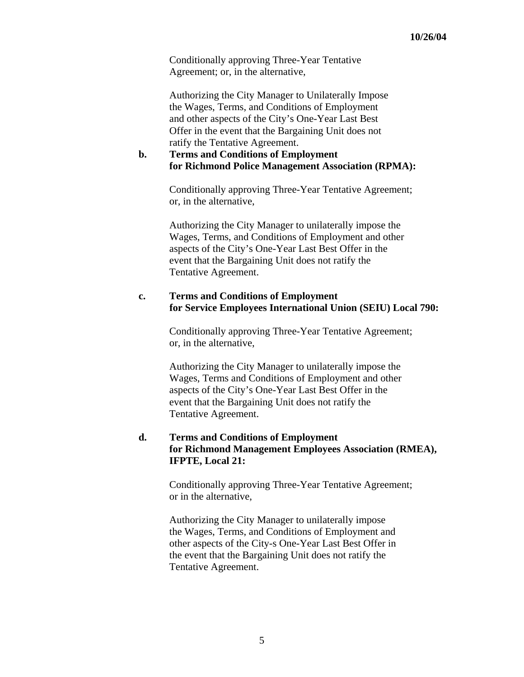Conditionally approving Three-Year Tentative Agreement; or, in the alternative,

Authorizing the City Manager to Unilaterally Impose the Wages, Terms, and Conditions of Employment and other aspects of the City's One-Year Last Best Offer in the event that the Bargaining Unit does not ratify the Tentative Agreement.

#### **b. Terms and Conditions of Employment for Richmond Police Management Association (RPMA):**

Conditionally approving Three-Year Tentative Agreement; or, in the alternative,

Authorizing the City Manager to unilaterally impose the Wages, Terms, and Conditions of Employment and other aspects of the City's One-Year Last Best Offer in the event that the Bargaining Unit does not ratify the Tentative Agreement.

#### **c. Terms and Conditions of Employment for Service Employees International Union (SEIU) Local 790:**

Conditionally approving Three-Year Tentative Agreement; or, in the alternative,

Authorizing the City Manager to unilaterally impose the Wages, Terms and Conditions of Employment and other aspects of the City's One-Year Last Best Offer in the event that the Bargaining Unit does not ratify the Tentative Agreement.

### **d. Terms and Conditions of Employment for Richmond Management Employees Association (RMEA), IFPTE, Local 21:**

Conditionally approving Three-Year Tentative Agreement; or in the alternative,

Authorizing the City Manager to unilaterally impose the Wages, Terms, and Conditions of Employment and other aspects of the City-s One-Year Last Best Offer in the event that the Bargaining Unit does not ratify the Tentative Agreement.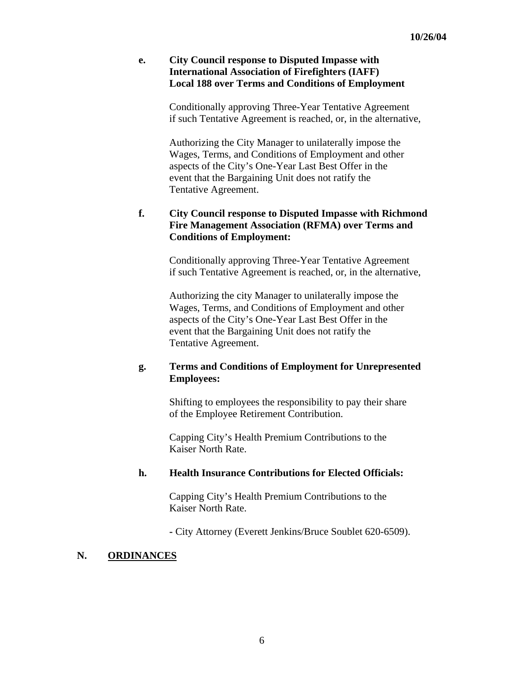### **e. City Council response to Disputed Impasse with International Association of Firefighters (IAFF) Local 188 over Terms and Conditions of Employment**

Conditionally approving Three-Year Tentative Agreement if such Tentative Agreement is reached, or, in the alternative,

Authorizing the City Manager to unilaterally impose the Wages, Terms, and Conditions of Employment and other aspects of the City's One-Year Last Best Offer in the event that the Bargaining Unit does not ratify the Tentative Agreement.

# **f. City Council response to Disputed Impasse with Richmond Fire Management Association (RFMA) over Terms and Conditions of Employment:**

Conditionally approving Three-Year Tentative Agreement if such Tentative Agreement is reached, or, in the alternative,

Authorizing the city Manager to unilaterally impose the Wages, Terms, and Conditions of Employment and other aspects of the City's One-Year Last Best Offer in the event that the Bargaining Unit does not ratify the Tentative Agreement.

# **g. Terms and Conditions of Employment for Unrepresented Employees:**

Shifting to employees the responsibility to pay their share of the Employee Retirement Contribution.

Capping City's Health Premium Contributions to the Kaiser North Rate.

# **h. Health Insurance Contributions for Elected Officials:**

Capping City's Health Premium Contributions to the Kaiser North Rate.

 **-** City Attorney (Everett Jenkins/Bruce Soublet 620-6509).

# **N. ORDINANCES**